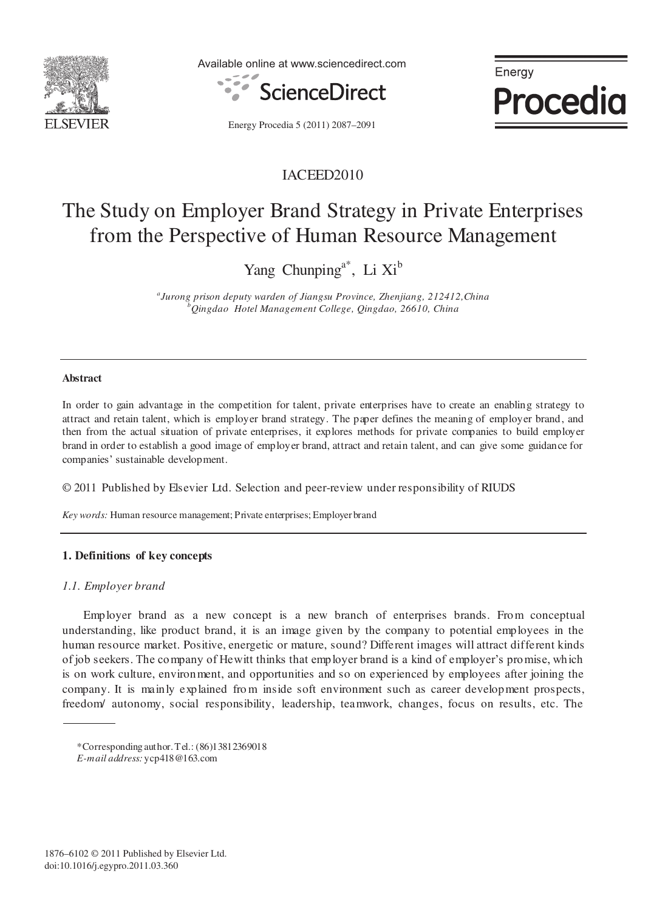

Available online at www.sciencedirect.com



Energy **Procedia** 

Energy Procedia 5 (2011) 2087–2091

# IACEED2010

# The Study on Employer Brand Strategy in Private Enterprises from the Perspective of Human Resource Management

Yang Chunping<sup>a\*</sup>, Li Xi<sup>b</sup>

*a Jurong prison deputy warden of Jiangsu Province, Zhenjiang, 212412,China b Qingdao Hotel Management College, Qingdao, 26610, China* 

# **Abstract**

In order to gain advantage in the competition for talent, private enterprises have to create an enabling strategy to attract and retain talent, which is employer brand strategy. The paper defines the meaning of employer brand, and then from the actual situation of private enterprises, it explores methods for private companies to build employer brand in order to establish a good image of employer brand, attract and retain talent, and can give some guidance for companies' sustainable development.

© 2011 Published by Elsevier Ltd. Selection and peer-review under responsibility of RIUDS

*Key words:* Human resource management; Private enterprises; Employer brand

# **1. Definitions of key concepts**

# *1.1. Employer brand*

 Employer brand as a new concept is a new branch of enterprises brands. From conceptual understanding, like product brand, it is an image given by the company to potential employees in the human resource market. Positive, energetic or mature, sound? Different images will attract different kinds of job seekers. The company of Hewitt thinks that employer brand is a kind of employer's promise, which is on work culture, environment, and opportunities and so on experienced by employees after joining the company. It is mainly explained from inside soft environment such as career development prospects, freedom/ autonomy, social responsibility, leadership, teamwork, changes, focus on results, etc. The

<sup>\*</sup>Corresponding author. Tel.: (86)13812369018 *E-mail address:* ycp418@163.com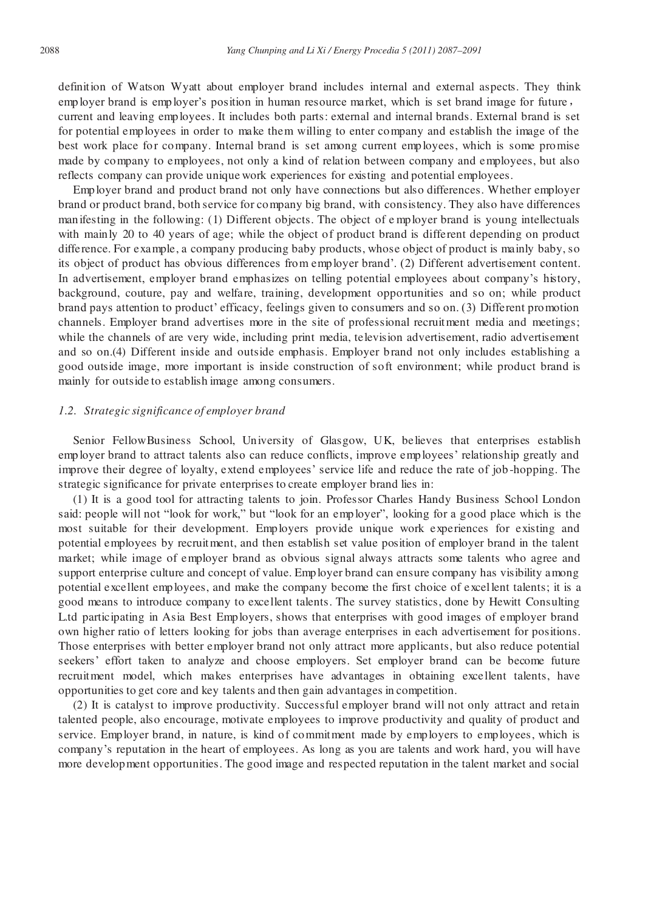definition of Watson Wyatt about employer brand includes internal and external aspects. They think employer brand is employer's position in human resource market, which is set brand image for future, current and leaving employees. It includes both parts: external and internal brands. External brand is set for potential employees in order to make them willing to enter company and establish the image of the best work place for company. Internal brand is set among current employees, which is some promise made by company to employees, not only a kind of relation between company and employees, but also reflects company can provide unique work experiences for existing and potential employees.

Employer brand and product brand not only have connections but also differences. Whether employer brand or product brand, both service for company big brand, with consistency. They also have differences manifesting in the following: (1) Different objects. The object of e mployer brand is young intellectuals with mainly 20 to 40 years of age; while the object of product brand is different depending on product difference. For example, a company producing baby products, whose object of product is mainly baby, so its object of product has obvious differences from employer brand'. (2) Different advertisement content. In advertisement, employer brand emphasizes on telling potential employees about company's history, background, couture, pay and welfare, training, development opportunities and so on; while product brand pays attention to product' efficacy, feelings given to consumers and so on. (3) Different promotion channels. Employer brand advertises more in the site of professional recruitment media and meetings; while the channels of are very wide, including print media, television advertisement, radio advertisement and so on.(4) Different inside and outside emphasis. Employer brand not only includes establishing a good outside image, more important is inside construction of soft environment; while product brand is mainly for outside to establish image among consumers.

#### *1.2. Strategic significance of employer brand*

Senior FellowBusiness School, University of Glasgow, UK, believes that enterprises establish employer brand to attract talents also can reduce conflicts, improve employees' relationship greatly and improve their degree of loyalty, extend employees' service life and reduce the rate of job -hopping. The strategic significance for private enterprises to create employer brand lies in:

(1) It is a good tool for attracting talents to join. Professor Charles Handy Business School London said: people will not "look for work," but "look for an employer", looking for a good place which is the most suitable for their development. Employers provide unique work experiences for existing and potential employees by recruitment, and then establish set value position of employer brand in the talent market; while image of employer brand as obvious signal always attracts some talents who agree and support enterprise culture and concept of value. Employer brand can ensure company has visibility among potential excellent employees, and make the company become the first choice of excel lent talents; it is a good means to introduce company to excellent talents. The survey statistics, done by Hewitt Consulting L.td participating in Asia Best Employers, shows that enterprises with good images of employer brand own higher ratio of letters looking for jobs than average enterprises in each advertisement for positions. Those enterprises with better employer brand not only attract more applicants, but also reduce potential seekers' effort taken to analyze and choose employers. Set employer brand can be become future recruitment model, which makes enterprises have advantages in obtaining excellent talents, have opportunities to get core and key talents and then gain advantages in competition.

(2) It is catalyst to improve productivity. Successful employer brand will not only attract and retain talented people, also encourage, motivate employees to improve productivity and quality of product and service. Employer brand, in nature, is kind of commitment made by employers to employees, which is company's reputation in the heart of employees. As long as you are talents and work hard, you will have more development opportunities. The good image and respected reputation in the talent market and social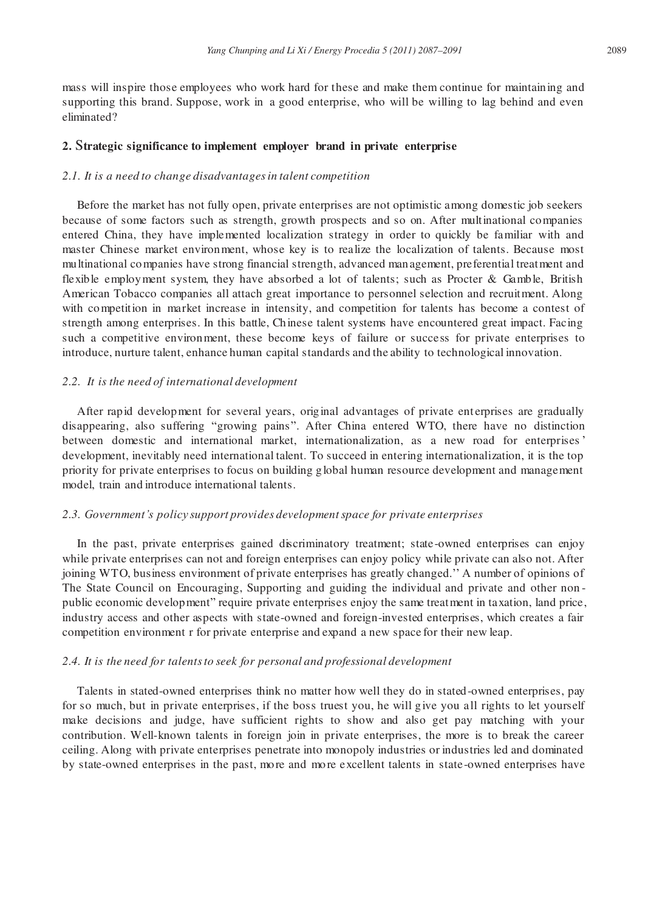mass will inspire those employees who work hard for these and make them continue for maintaining and supporting this brand. Suppose, work in a good enterprise, who will be willing to lag behind and even eliminated?

# **2.** S**trategic significance to implement employer brand in private enterprise**

# *2.1. It is a need to change disadvantages in talent competition*

Before the market has not fully open, private enterprises are not optimistic among domestic job seekers because of some factors such as strength, growth prospects and so on. After multinational companies entered China, they have implemented localization strategy in order to quickly be familiar with and master Chinese market environment, whose key is to realize the localization of talents. Because most multinational companies have strong financial strength, advanced management, preferential treatment and flexible employment system, they have absorbed a lot of talents; such as Procter & Gamble, British American Tobacco companies all attach great importance to personnel selection and recruitment. Along with competition in market increase in intensity, and competition for talents has become a contest of strength among enterprises. In this battle, Chinese talent systems have encountered great impact. Facing such a competitive environment, these become keys of failure or success for private enterprises to introduce, nurture talent, enhance human capital standards and the ability to technological innovation.

#### *2.2. It is the need of international development*

After rapid development for several years, original advantages of private enterprises are gradually disappearing, also suffering "growing pains". After China entered WTO, there have no distinction between domestic and international market, internationalization, as a new road for enterprises ' development, inevitably need international talent. To succeed in entering internationalization, it is the top priority for private enterprises to focus on building global human resource development and management model, train and introduce international talents.

# *2.3. Government's policy support provides development space for private enterprises*

In the past, private enterprises gained discriminatory treatment; state-owned enterprises can enjoy while private enterprises can not and foreign enterprises can enjoy policy while private can also not. After joining WTO, business environment of private enterprises has greatly changed.'' A number of opinions of The State Council on Encouraging, Supporting and guiding the individual and private and other non public economic development" require private enterprises enjoy the same treatment in taxation, land price, industry access and other aspects with state-owned and foreign-invested enterprises, which creates a fair competition environment r for private enterprise and expand a new space for their new leap.

# *2.4. It is the need for talents to seek for personal and professional development*

Talents in stated-owned enterprises think no matter how well they do in stated-owned enterprises, pay for so much, but in private enterprises, if the boss truest you, he will give you all rights to let yourself make decisions and judge, have sufficient rights to show and also get pay matching with your contribution. Well-known talents in foreign join in private enterprises, the more is to break the career ceiling. Along with private enterprises penetrate into monopoly industries or industries led and dominated by state-owned enterprises in the past, more and more excellent talents in state-owned enterprises have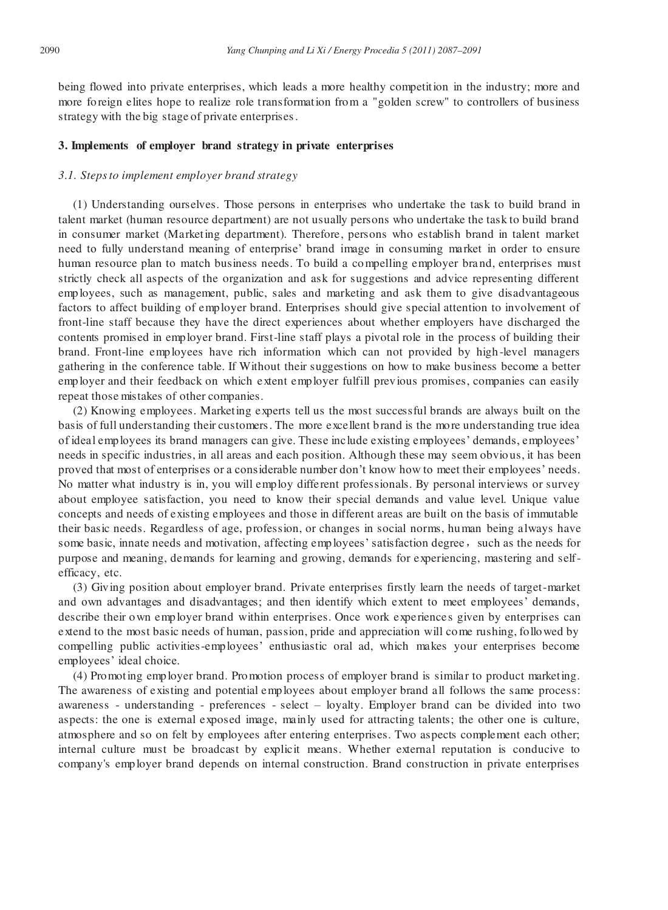being flowed into private enterprises, which leads a more healthy competition in the industry; more and more foreign elites hope to realize role transformation from a "golden screw" to controllers of business strategy with the big stage of private enterprises .

# **3. Implements of employer brand strategy in private enterprises**

#### *3.1. Steps to implement employer brand strategy*

(1) Understanding ourselves. Those persons in enterprises who undertake the task to build brand in talent market (human resource department) are not usually persons who undertake the task to build brand in consumer market (Marketing department). Therefore, persons who establish brand in talent market need to fully understand meaning of enterprise' brand image in consuming market in order to ensure human resource plan to match business needs. To build a compelling employer brand, enterprises must strictly check all aspects of the organization and ask for suggestions and advice representing different employees, such as management, public, sales and marketing and ask them to give disadvantageous factors to affect building of employer brand. Enterprises should give special attention to involvement of front-line staff because they have the direct experiences about whether employers have discharged the contents promised in employer brand. First-line staff plays a pivotal role in the process of building their brand. Front-line employees have rich information which can not provided by high -level managers gathering in the conference table. If Without their suggestions on how to make business become a better employer and their feedback on which extent employer fulfill previous promises, companies can easily repeat those mistakes of other companies.

(2) Knowing employees. Marketing experts tell us the most successful brands are always built on the basis of full understanding their customers. The more excellent brand is the more understanding true idea of ideal employees its brand managers can give. These include existing employees' demands, employees' needs in specific industries, in all areas and each position. Although these may seem obvio us, it has been proved that most of enterprises or a considerable number don't know how to meet their employees' needs. No matter what industry is in, you will employ different professionals. By personal interviews or survey about employee satisfaction, you need to know their special demands and value level. Unique value concepts and needs of existing employees and those in different areas are built on the basis of immutable their basic needs. Regardless of age, profession, or changes in social norms, human being always have some basic, innate needs and motivation, affecting employees' satisfaction degree, such as the needs for purpose and meaning, demands for learning and growing, demands for experiencing, mastering and selfefficacy, etc.

(3) Giving position about employer brand. Private enterprises firstly learn the needs of target-market and own advantages and disadvantages; and then identify which extent to meet employees' demands, describe their own employer brand within enterprises. Once work experiences given by enterprises can extend to the most basic needs of human, passion, pride and appreciation will come rushing, followed by compelling public activities-employees' enthusiastic oral ad, which makes your enterprises become employees' ideal choice.

(4) Promoting employer brand. Promotion process of employer brand is similar to product marketing. The awareness of existing and potential employees about employer brand all follows the same process: awareness - understanding - preferences - select – loyalty. Employer brand can be divided into two aspects: the one is external exposed image, mainly used for attracting talents; the other one is culture, atmosphere and so on felt by employees after entering enterprises. Two aspects complement each other; internal culture must be broadcast by explicit means. Whether external reputation is conducive to company's employer brand depends on internal construction. Brand construction in private enterprises